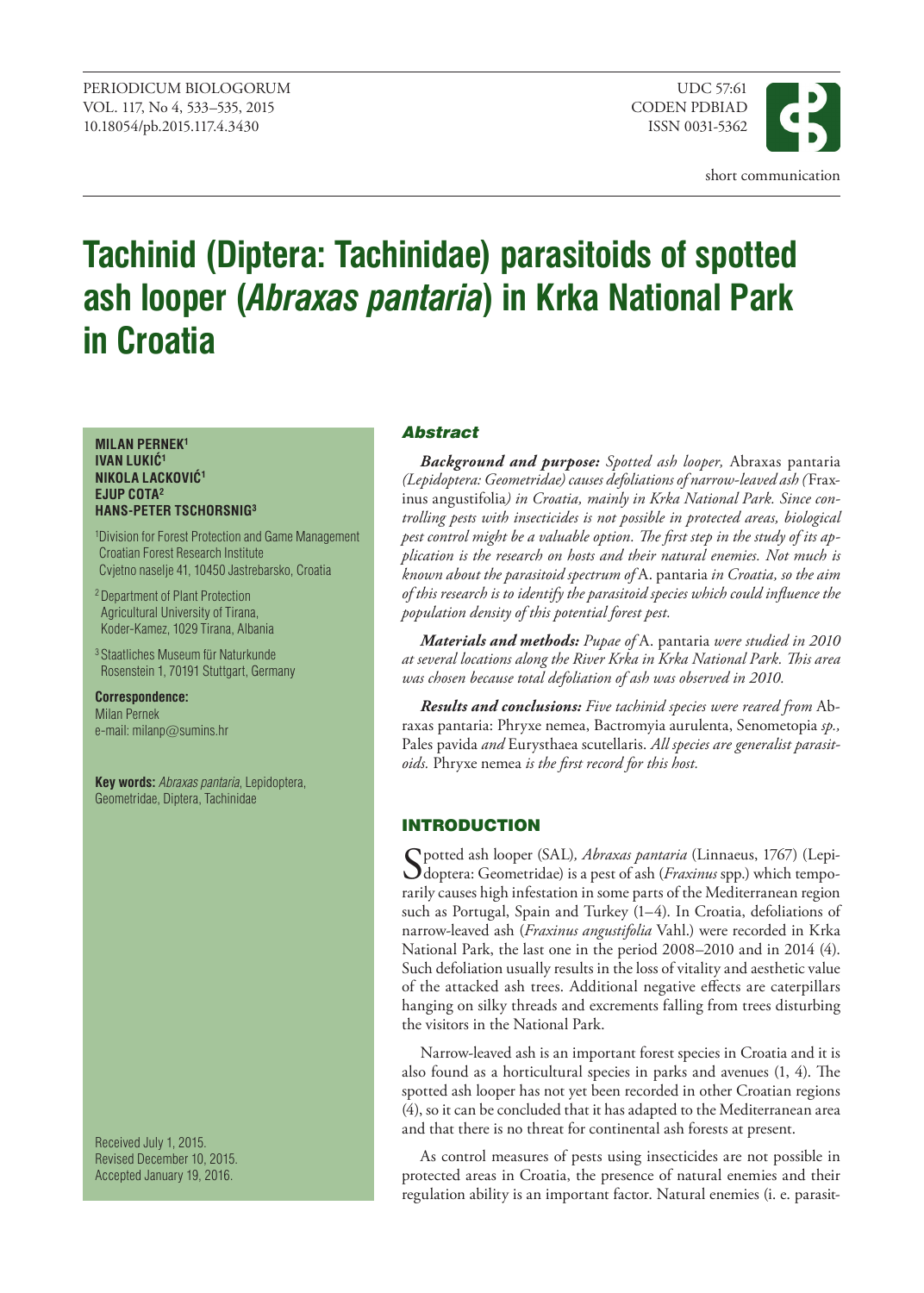

# **Tachinid (Diptera: Tachinidae) parasitoids of spotted ash looper (***Abraxas pantaria***) in Krka National Park in Croatia**

#### **MILAN PERNEK1 IVAN LUKIĆ<sup>1</sup> NIKOLA LACKOVIĆ<sup>1</sup> EJUP COTA2 HANS-PETER TSCHORSNIG3**

1 Division for Forest Protection and Game Management Croatian Forest Research Institute Cvjetno naselje 41, 10450 Jastrebarsko, Croatia

2 Department of Plant Protection Agricultural University of Tirana, Koder-Kamez, 1029 Tirana, Albania

3 Staatliches Museum für Naturkunde Rosenstein 1, 70191 Stuttgart, Germany

**Correspondence:** Milan Pernek e-mail: milanp@sumins.hr

**Key words:** *Abraxas pantaria*, Lepidoptera, Geometridae, Diptera, Tachinidae

Received July 1, 2015. Revised December 10, 2015. Accepted January 19, 2016.

# Abstract

*Background and purpose: Spotted ash looper,* Abraxas pantaria *(Lepidoptera: Geometridae) causes defoliations of narrow-leaved ash (*Fraxinus angustifolia*) in Croatia, mainly in Krka National Park. Since controlling pests with insecticides is not possible in protected areas, biological pest control might be a valuable option. The first step in the study of its application is the research on hosts and their natural enemies. Not much is known about the parasitoid spectrum of* A. pantaria *in Croatia, so the aim of this research is to identify the parasitoid species which could influence the population density of this potential forest pest.*

*Materials and methods: Pupae of* A. pantaria *were studied in 2010 at several locations along the River Krka in Krka National Park. This area was chosen because total defoliation of ash was observed in 2010.*

*Results and conclusions: Five tachinid species were reared from* Abraxas pantaria: Phryxe nemea, Bactromyia aurulenta, Senometopia *sp.,*  Pales pavida *and* Eurysthaea scutellaris. *All species are generalist parasitoids.* Phryxe nemea *is the first record for this host.*

# **INTRODUCTION**

Spotted ash looper (SAL)*, Abraxas pantaria* (Linnaeus, 1767) (Lepi-doptera: Geometridae) is a pest of ash (*Fraxinus* spp.) which temporarily causes high infestation in some parts of the Mediterranean region such as Portugal, Spain and Turkey (1–4). In Croatia, defoliations of narrow-leaved ash (*Fraxinus angustifolia* Vahl.) were recorded in Krka National Park, the last one in the period 2008–2010 and in 2014 (4). Such defoliation usually results in the loss of vitality and aesthetic value of the attacked ash trees. Additional negative effects are caterpillars hanging on silky threads and excrements falling from trees disturbing the visitors in the National Park.

Narrow-leaved ash is an important forest species in Croatia and it is also found as a horticultural species in parks and avenues (1, 4). The spotted ash looper has not yet been recorded in other Croatian regions (4), so it can be concluded that it has adapted to the Mediterranean area and that there is no threat for continental ash forests at present.

As control measures of pests using insecticides are not possible in protected areas in Croatia, the presence of natural enemies and their regulation ability is an important factor. Natural enemies (i. e. parasit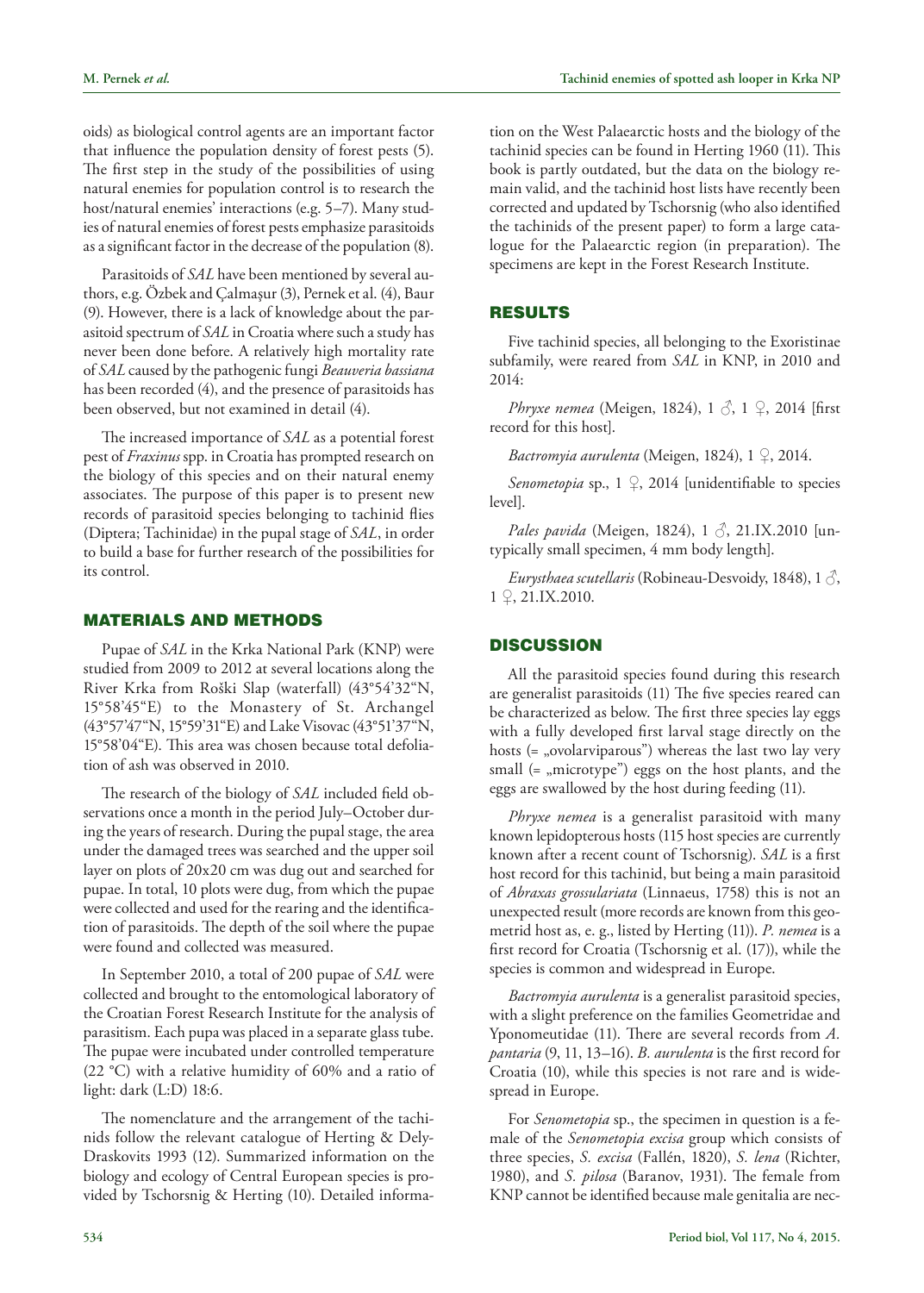oids) as biological control agents are an important factor that influence the population density of forest pests (5). The first step in the study of the possibilities of using natural enemies for population control is to research the host/natural enemies' interactions (e.g. 5–7). Many studies of natural enemies of forest pests emphasize parasitoids as a significant factor in the decrease of the population (8).

Parasitoids of *SAL* have been mentioned by several authors, e.g. Özbek and Çalmaşur (3), Pernek et al. (4), Baur (9). However, there is a lack of knowledge about the parasitoid spectrum of *SAL* in Croatia where such a study has never been done before. A relatively high mortality rate of *SAL* caused by the pathogenic fungi *Beauveria bassiana* has been recorded (4), and the presence of parasitoids has been observed, but not examined in detail (4).

The increased importance of *SAL* as a potential forest pest of *Fraxinus* spp. in Croatia has prompted research on the biology of this species and on their natural enemy associates. The purpose of this paper is to present new records of parasitoid species belonging to tachinid flies (Diptera; Tachinidae) in the pupal stage of *SAL*, in order to build a base for further research of the possibilities for its control.

#### Materials and methods

Pupae of *SAL* in the Krka National Park (KNP) were studied from 2009 to 2012 at several locations along the River Krka from Roški Slap (waterfall) (43°54'32"N, 15°58'45"E) to the Monastery of St. Archangel (43°57'47"N, 15°59'31"E) and Lake Visovac (43°51'37"N, 15°58'04"E). This area was chosen because total defoliation of ash was observed in 2010.

The research of the biology of *SAL* included field observations once a month in the period July–October during the years of research. During the pupal stage, the area under the damaged trees was searched and the upper soil layer on plots of 20x20 cm was dug out and searched for pupae. In total, 10 plots were dug, from which the pupae were collected and used for the rearing and the identification of parasitoids. The depth of the soil where the pupae were found and collected was measured.

In September 2010, a total of 200 pupae of *SAL* were collected and brought to the entomological laboratory of the Croatian Forest Research Institute for the analysis of parasitism. Each pupa was placed in a separate glass tube. The pupae were incubated under controlled temperature (22 °C) with a relative humidity of 60% and a ratio of light: dark (L:D) 18:6.

The nomenclature and the arrangement of the tachinids follow the relevant catalogue of Herting & Dely-Draskovits 1993 (12). Summarized information on the biology and ecology of Central European species is provided by Tschorsnig & Herting (10). Detailed information on the West Palaearctic hosts and the biology of the tachinid species can be found in Herting 1960 (11). This book is partly outdated, but the data on the biology remain valid, and the tachinid host lists have recently been corrected and updated by Tschorsnig (who also identified the tachinids of the present paper) to form a large catalogue for the Palaearctic region (in preparation). The specimens are kept in the Forest Research Institute.

## Results

Five tachinid species, all belonging to the Exoristinae subfamily, were reared from *SAL* in KNP, in 2010 and 2014:

*Phryxe nemea* (Meigen, 1824), 1  $\delta$ , 1  $\Omega$ , 2014 [first] record for this host].

*Bactromyia aurulenta* (Meigen, 1824), 1 ♀, 2014.

*Senometopia* sp., 1 <del>♀</del>, 2014 [unidentifiable to species level].

*Pales pavida* (Meigen, 1824), 1 ♂, 21.IX.2010 [untypically small specimen, 4 mm body length].

*Eurysthaea scutellaris* (Robineau-Desvoidy, 1848), 1 ♂, 1 ♀, 21.IX.2010.

## **DISCUSSION**

All the parasitoid species found during this research are generalist parasitoids (11) The five species reared can be characterized as below. The first three species lay eggs with a fully developed first larval stage directly on the hosts  $(=$  "ovolarviparous") whereas the last two lay very small  $(=$  "microtype") eggs on the host plants, and the eggs are swallowed by the host during feeding (11).

*Phryxe nemea* is a generalist parasitoid with many known lepidopterous hosts (115 host species are currently known after a recent count of Tschorsnig). *SAL* is a first host record for this tachinid, but being a main parasitoid of *Abraxas grossulariata* (Linnaeus, 1758) this is not an unexpected result (more records are known from this geometrid host as, e. g., listed by Herting (11)). *P. nemea* is a first record for Croatia (Tschorsnig et al. (17)), while the species is common and widespread in Europe.

*Bactromyia aurulenta* is a generalist parasitoid species, with a slight preference on the families Geometridae and Yponomeutidae (11). There are several records from *A. pantaria* (9, 11, 13–16). *B. aurulenta* is the first record for Croatia (10), while this species is not rare and is widespread in Europe.

For *Senometopia* sp., the specimen in question is a female of the *Senometopia excisa* group which consists of three species, *S. excisa* (Fallén, 1820), *S. lena* (Richter, 1980), and *S. pilosa* (Baranov, 1931). The female from KNP cannot be identified because male genitalia are nec